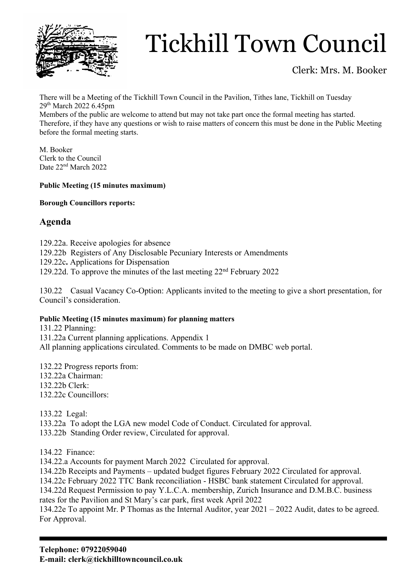

## Tickhill Town Council

### Clerk: Mrs. M. Booker

There will be a Meeting of the Tickhill Town Council in the Pavilion, Tithes lane, Tickhill on Tuesday 29th March 2022 6.45pm

Members of the public are welcome to attend but may not take part once the formal meeting has started. Therefore, if they have any questions or wish to raise matters of concern this must be done in the Public Meeting before the formal meeting starts.

M. Booker Clerk to the Council Date 22<sup>nd</sup> March 2022

#### **Public Meeting (15 minutes maximum)**

#### **Borough Councillors reports:**

### **Agenda**

129.22a. Receive apologies for absence

- 129.22b Registers of Any Disclosable Pecuniary Interests or Amendments
- 129.22c**.** Applications for Dispensation

129.22d. To approve the minutes of the last meeting 22nd February 2022

130.22 Casual Vacancy Co-Option: Applicants invited to the meeting to give a short presentation, for Council's consideration.

#### **Public Meeting (15 minutes maximum) for planning matters**

131.22 Planning: 131.22a Current planning applications. Appendix 1 All planning applications circulated. Comments to be made on DMBC web portal.

132.22 Progress reports from: 132.22a Chairman: 132.22b Clerk: 132.22c Councillors:

133.22 Legal:

133.22a To adopt the LGA new model Code of Conduct. Circulated for approval.

133.22b Standing Order review, Circulated for approval.

134.22 Finance:

134.22.a Accounts for payment March 2022 Circulated for approval.

134.22b Receipts and Payments – updated budget figures February 2022 Circulated for approval.

134.22c February 2022 TTC Bank reconciliation - HSBC bank statement Circulated for approval.

134.22d Request Permission to pay Y.L.C.A. membership, Zurich Insurance and D.M.B.C. business rates for the Pavilion and St Mary's car park, first week April 2022

134.22e To appoint Mr. P Thomas as the Internal Auditor, year 2021 – 2022 Audit, dates to be agreed. For Approval.